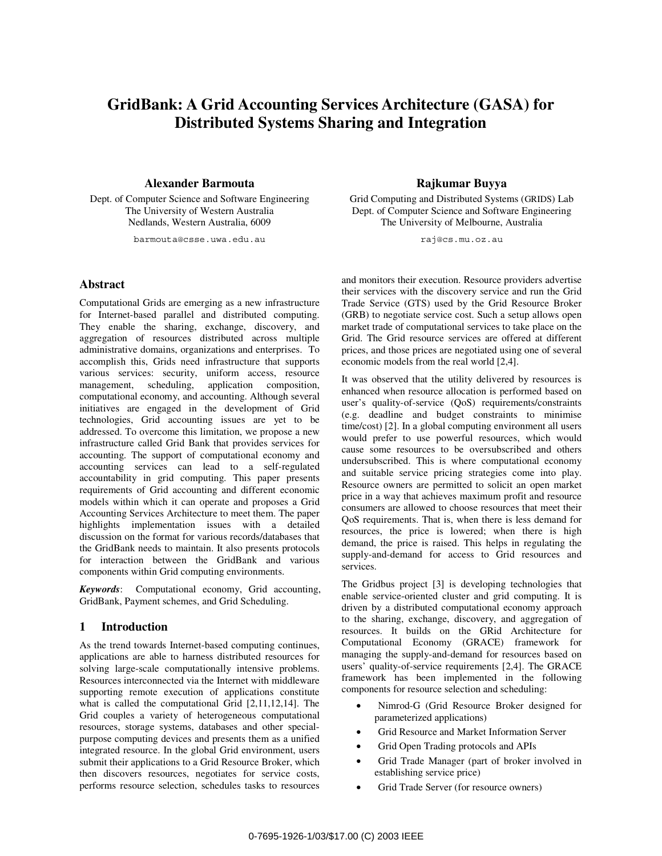# **GridBank: A Grid Accounting Services Architecture (GASA) for Distributed Systems Sharing and Integration**

#### **Alexander Barmouta**

Dept. of Computer Science and Software Engineering The University of Western Australia Nedlands, Western Australia, 6009

barmouta@csse.uwa.edu.au

## **Abstract**

Computational Grids are emerging as a new infrastructure for Internet-based parallel and distributed computing. They enable the sharing, exchange, discovery, and aggregation of resources distributed across multiple administrative domains, organizations and enterprises. To accomplish this, Grids need infrastructure that supports various services: security, uniform access, resource management, scheduling, application composition, computational economy, and accounting. Although several initiatives are engaged in the development of Grid technologies, Grid accounting issues are yet to be addressed. To overcome this limitation, we propose a new infrastructure called Grid Bank that provides services for accounting. The support of computational economy and accounting services can lead to a self-regulated accountability in grid computing. This paper presents requirements of Grid accounting and different economic models within which it can operate and proposes a Grid Accounting Services Architecture to meet them. The paper highlights implementation issues with a detailed discussion on the format for various records/databases that the GridBank needs to maintain. It also presents protocols for interaction between the GridBank and various components within Grid computing environments.

*Keywords*: Computational economy, Grid accounting, GridBank, Payment schemes, and Grid Scheduling.

### **1 Introduction**

As the trend towards Internet-based computing continues, applications are able to harness distributed resources for solving large-scale computationally intensive problems. Resources interconnected via the Internet with middleware supporting remote execution of applications constitute what is called the computational Grid [2,11,12,14]. The Grid couples a variety of heterogeneous computational resources, storage systems, databases and other specialpurpose computing devices and presents them as a unified integrated resource. In the global Grid environment, users submit their applications to a Grid Resource Broker, which then discovers resources, negotiates for service costs, performs resource selection, schedules tasks to resources **Rajkumar Buyya** 

Grid Computing and Distributed Systems (GRIDS) Lab Dept. of Computer Science and Software Engineering The University of Melbourne, Australia

raj@cs.mu.oz.au

and monitors their execution. Resource providers advertise their services with the discovery service and run the Grid Trade Service (GTS) used by the Grid Resource Broker (GRB) to negotiate service cost. Such a setup allows open market trade of computational services to take place on the Grid. The Grid resource services are offered at different prices, and those prices are negotiated using one of several economic models from the real world [2,4].

It was observed that the utility delivered by resources is enhanced when resource allocation is performed based on user's quality-of-service (QoS) requirements/constraints (e.g. deadline and budget constraints to minimise time/cost) [2]. In a global computing environment all users would prefer to use powerful resources, which would cause some resources to be oversubscribed and others undersubscribed. This is where computational economy and suitable service pricing strategies come into play. Resource owners are permitted to solicit an open market price in a way that achieves maximum profit and resource consumers are allowed to choose resources that meet their QoS requirements. That is, when there is less demand for resources, the price is lowered; when there is high demand, the price is raised. This helps in regulating the supply-and-demand for access to Grid resources and services.

The Gridbus project [3] is developing technologies that enable service-oriented cluster and grid computing. It is driven by a distributed computational economy approach to the sharing, exchange, discovery, and aggregation of resources. It builds on the GRid Architecture for Computational Economy (GRACE) framework for managing the supply-and-demand for resources based on users' quality-of-service requirements [2,4]. The GRACE framework has been implemented in the following components for resource selection and scheduling:

- Nimrod-G (Grid Resource Broker designed for parameterized applications)
- Grid Resource and Market Information Server
- Grid Open Trading protocols and APIs
- Grid Trade Manager (part of broker involved in establishing service price)
- Grid Trade Server (for resource owners)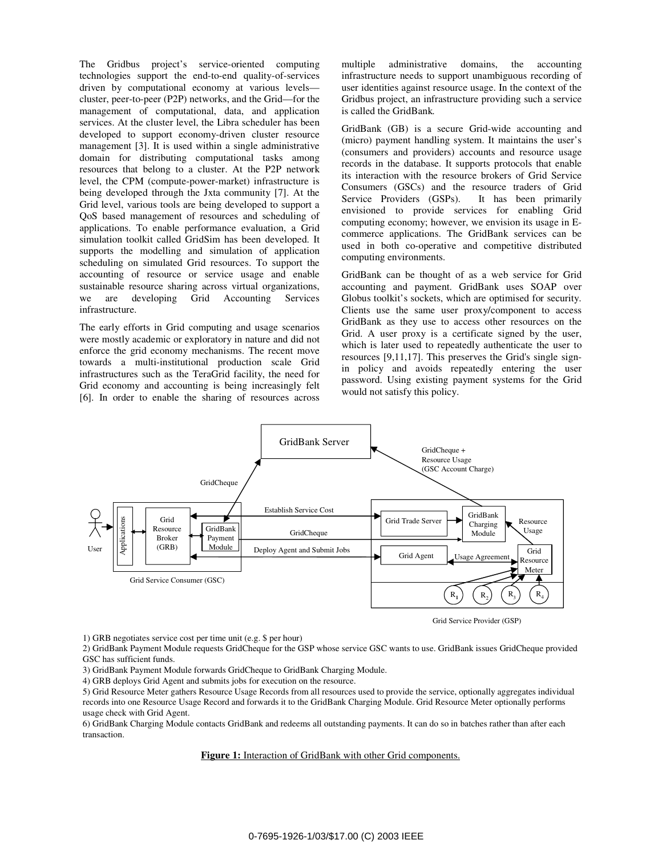The Gridbus project's service-oriented computing technologies support the end-to-end quality-of-services driven by computational economy at various levels cluster, peer-to-peer (P2P) networks, and the Grid—for the management of computational, data, and application services. At the cluster level, the Libra scheduler has been developed to support economy-driven cluster resource management [3]. It is used within a single administrative domain for distributing computational tasks among resources that belong to a cluster. At the P2P network level, the CPM (compute-power-market) infrastructure is being developed through the Jxta community [7]. At the Grid level, various tools are being developed to support a QoS based management of resources and scheduling of applications. To enable performance evaluation, a Grid simulation toolkit called GridSim has been developed. It supports the modelling and simulation of application scheduling on simulated Grid resources. To support the accounting of resource or service usage and enable sustainable resource sharing across virtual organizations, we are developing Grid Accounting Services infrastructure.

The early efforts in Grid computing and usage scenarios were mostly academic or exploratory in nature and did not enforce the grid economy mechanisms. The recent move towards a multi-institutional production scale Grid infrastructures such as the TeraGrid facility, the need for Grid economy and accounting is being increasingly felt [6]. In order to enable the sharing of resources across multiple administrative domains, the accounting infrastructure needs to support unambiguous recording of user identities against resource usage. In the context of the Gridbus project, an infrastructure providing such a service is called the GridBank*.*

GridBank (GB) is a secure Grid-wide accounting and (micro) payment handling system. It maintains the user's (consumers and providers) accounts and resource usage records in the database. It supports protocols that enable its interaction with the resource brokers of Grid Service Consumers (GSCs) and the resource traders of Grid Service Providers (GSPs). It has been primarily envisioned to provide services for enabling Grid computing economy; however, we envision its usage in Ecommerce applications. The GridBank services can be used in both co-operative and competitive distributed computing environments.

GridBank can be thought of as a web service for Grid accounting and payment. GridBank uses SOAP over Globus toolkit's sockets, which are optimised for security. Clients use the same user proxy/component to access GridBank as they use to access other resources on the Grid. A user proxy is a certificate signed by the user, which is later used to repeatedly authenticate the user to resources [9,11,17]. This preserves the Grid's single signin policy and avoids repeatedly entering the user password. Using existing payment systems for the Grid would not satisfy this policy.



1) GRB negotiates service cost per time unit (e.g. \$ per hour)

2) GridBank Payment Module requests GridCheque for the GSP whose service GSC wants to use. GridBank issues GridCheque provided GSC has sufficient funds.

3) GridBank Payment Module forwards GridCheque to GridBank Charging Module.

4) GRB deploys Grid Agent and submits jobs for execution on the resource.

5) Grid Resource Meter gathers Resource Usage Records from all resources used to provide the service, optionally aggregates individual records into one Resource Usage Record and forwards it to the GridBank Charging Module. Grid Resource Meter optionally performs usage check with Grid Agent.

6) GridBank Charging Module contacts GridBank and redeems all outstanding payments. It can do so in batches rather than after each transaction.

**Figure 1:** Interaction of GridBank with other Grid components.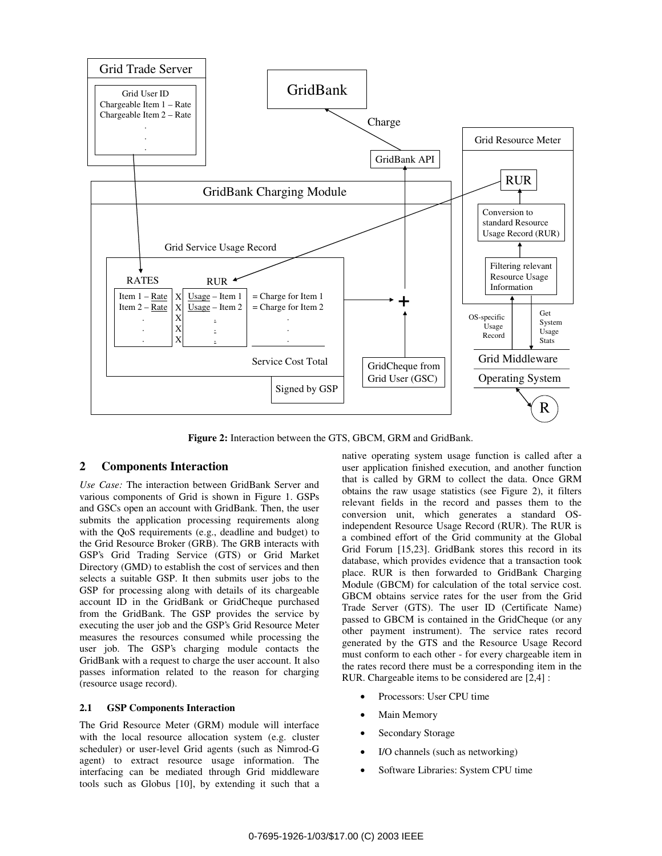

**Figure 2:** Interaction between the GTS, GBCM, GRM and GridBank.

## **2 Components Interaction**

*Use Case:* The interaction between GridBank Server and various components of Grid is shown in Figure 1. GSPs and GSCs open an account with GridBank. Then, the user submits the application processing requirements along with the QoS requirements (e.g., deadline and budget) to the Grid Resource Broker (GRB). The GRB interacts with GSP's Grid Trading Service (GTS) or Grid Market Directory (GMD) to establish the cost of services and then selects a suitable GSP. It then submits user jobs to the GSP for processing along with details of its chargeable account ID in the GridBank or GridCheque purchased from the GridBank. The GSP provides the service by executing the user job and the GSP's Grid Resource Meter measures the resources consumed while processing the user job. The GSP's charging module contacts the GridBank with a request to charge the user account. It also passes information related to the reason for charging (resource usage record).

#### **2.1 GSP Components Interaction**

The Grid Resource Meter (GRM) module will interface with the local resource allocation system (e.g. cluster scheduler) or user-level Grid agents (such as Nimrod-G agent) to extract resource usage information. The interfacing can be mediated through Grid middleware tools such as Globus [10], by extending it such that a

native operating system usage function is called after a user application finished execution, and another function that is called by GRM to collect the data. Once GRM obtains the raw usage statistics (see Figure 2), it filters relevant fields in the record and passes them to the conversion unit, which generates a standard OSindependent Resource Usage Record (RUR). The RUR is a combined effort of the Grid community at the Global Grid Forum [15,23]. GridBank stores this record in its database, which provides evidence that a transaction took place. RUR is then forwarded to GridBank Charging Module (GBCM) for calculation of the total service cost. GBCM obtains service rates for the user from the Grid Trade Server (GTS). The user ID (Certificate Name) passed to GBCM is contained in the GridCheque (or any other payment instrument). The service rates record generated by the GTS and the Resource Usage Record must conform to each other - for every chargeable item in the rates record there must be a corresponding item in the RUR. Chargeable items to be considered are [2,4] :

- Processors: User CPU time
- Main Memory
- Secondary Storage
- I/O channels (such as networking)
- Software Libraries: System CPU time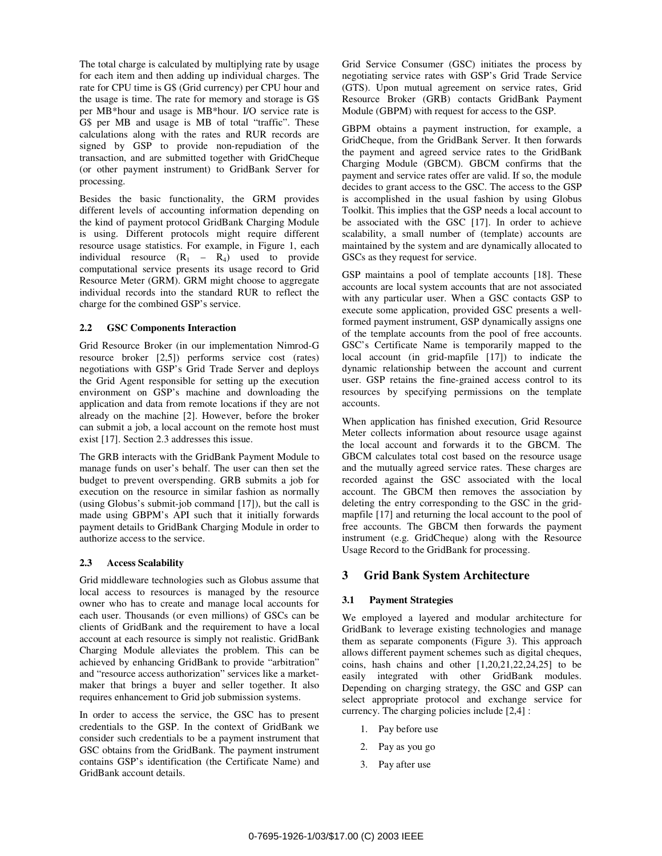The total charge is calculated by multiplying rate by usage for each item and then adding up individual charges. The rate for CPU time is G\$ (Grid currency) per CPU hour and the usage is time. The rate for memory and storage is G\$ per MB\*hour and usage is MB\*hour. I/O service rate is G\$ per MB and usage is MB of total "traffic". These calculations along with the rates and RUR records are signed by GSP to provide non-repudiation of the transaction, and are submitted together with GridCheque (or other payment instrument) to GridBank Server for processing.

Besides the basic functionality, the GRM provides different levels of accounting information depending on the kind of payment protocol GridBank Charging Module is using. Different protocols might require different resource usage statistics. For example, in Figure 1, each individual resource  $(R_1 - R_4)$  used to provide computational service presents its usage record to Grid Resource Meter (GRM). GRM might choose to aggregate individual records into the standard RUR to reflect the charge for the combined GSP's service.

#### **2.2 GSC Components Interaction**

Grid Resource Broker (in our implementation Nimrod-G resource broker [2,5]) performs service cost (rates) negotiations with GSP's Grid Trade Server and deploys the Grid Agent responsible for setting up the execution environment on GSP's machine and downloading the application and data from remote locations if they are not already on the machine [2]. However, before the broker can submit a job, a local account on the remote host must exist [17]. Section 2.3 addresses this issue.

The GRB interacts with the GridBank Payment Module to manage funds on user's behalf. The user can then set the budget to prevent overspending. GRB submits a job for execution on the resource in similar fashion as normally (using Globus's submit-job command [17]), but the call is made using GBPM's API such that it initially forwards payment details to GridBank Charging Module in order to authorize access to the service.

#### **2.3 Access Scalability**

Grid middleware technologies such as Globus assume that local access to resources is managed by the resource owner who has to create and manage local accounts for each user. Thousands (or even millions) of GSCs can be clients of GridBank and the requirement to have a local account at each resource is simply not realistic. GridBank Charging Module alleviates the problem. This can be achieved by enhancing GridBank to provide "arbitration" and "resource access authorization" services like a marketmaker that brings a buyer and seller together. It also requires enhancement to Grid job submission systems.

In order to access the service, the GSC has to present credentials to the GSP. In the context of GridBank we consider such credentials to be a payment instrument that GSC obtains from the GridBank. The payment instrument contains GSP's identification (the Certificate Name) and GridBank account details.

Grid Service Consumer (GSC) initiates the process by negotiating service rates with GSP's Grid Trade Service (GTS). Upon mutual agreement on service rates, Grid Resource Broker (GRB) contacts GridBank Payment Module (GBPM) with request for access to the GSP.

GBPM obtains a payment instruction, for example, a GridCheque, from the GridBank Server. It then forwards the payment and agreed service rates to the GridBank Charging Module (GBCM). GBCM confirms that the payment and service rates offer are valid. If so, the module decides to grant access to the GSC. The access to the GSP is accomplished in the usual fashion by using Globus Toolkit. This implies that the GSP needs a local account to be associated with the GSC [17]. In order to achieve scalability, a small number of (template) accounts are maintained by the system and are dynamically allocated to GSCs as they request for service.

GSP maintains a pool of template accounts [18]. These accounts are local system accounts that are not associated with any particular user. When a GSC contacts GSP to execute some application, provided GSC presents a wellformed payment instrument, GSP dynamically assigns one of the template accounts from the pool of free accounts. GSC's Certificate Name is temporarily mapped to the local account (in grid-mapfile [17]) to indicate the dynamic relationship between the account and current user. GSP retains the fine-grained access control to its resources by specifying permissions on the template accounts.

When application has finished execution, Grid Resource Meter collects information about resource usage against the local account and forwards it to the GBCM. The GBCM calculates total cost based on the resource usage and the mutually agreed service rates. These charges are recorded against the GSC associated with the local account. The GBCM then removes the association by deleting the entry corresponding to the GSC in the gridmapfile [17] and returning the local account to the pool of free accounts. The GBCM then forwards the payment instrument (e.g. GridCheque) along with the Resource Usage Record to the GridBank for processing.

#### **3 Grid Bank System Architecture**

#### **3.1 Payment Strategies**

We employed a layered and modular architecture for GridBank to leverage existing technologies and manage them as separate components (Figure 3). This approach allows different payment schemes such as digital cheques, coins, hash chains and other  $[1,20,21,22,24,25]$  to be easily integrated with other GridBank modules. Depending on charging strategy, the GSC and GSP can select appropriate protocol and exchange service for currency. The charging policies include [2,4] :

- 1. Pay before use
- 2. Pay as you go
- 3. Pay after use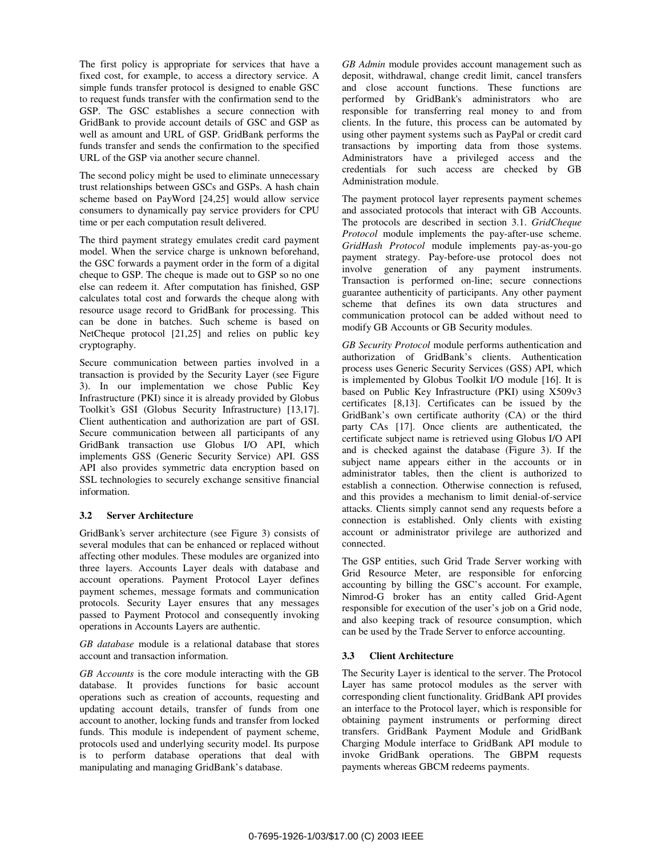The first policy is appropriate for services that have a fixed cost, for example, to access a directory service. A simple funds transfer protocol is designed to enable GSC to request funds transfer with the confirmation send to the GSP. The GSC establishes a secure connection with GridBank to provide account details of GSC and GSP as well as amount and URL of GSP. GridBank performs the funds transfer and sends the confirmation to the specified URL of the GSP via another secure channel.

The second policy might be used to eliminate unnecessary trust relationships between GSCs and GSPs. A hash chain scheme based on PayWord [24,25] would allow service consumers to dynamically pay service providers for CPU time or per each computation result delivered.

The third payment strategy emulates credit card payment model. When the service charge is unknown beforehand, the GSC forwards a payment order in the form of a digital cheque to GSP. The cheque is made out to GSP so no one else can redeem it. After computation has finished, GSP calculates total cost and forwards the cheque along with resource usage record to GridBank for processing. This can be done in batches. Such scheme is based on NetCheque protocol [21,25] and relies on public key cryptography.

Secure communication between parties involved in a transaction is provided by the Security Layer (see Figure 3). In our implementation we chose Public Key Infrastructure (PKI) since it is already provided by Globus Toolkit's GSI (Globus Security Infrastructure) [13,17]. Client authentication and authorization are part of GSI. Secure communication between all participants of any GridBank transaction use Globus I/O API, which implements GSS (Generic Security Service) API. GSS API also provides symmetric data encryption based on SSL technologies to securely exchange sensitive financial information.

#### **3.2 Server Architecture**

GridBank's server architecture (see Figure 3) consists of several modules that can be enhanced or replaced without affecting other modules. These modules are organized into three layers. Accounts Layer deals with database and account operations. Payment Protocol Layer defines payment schemes, message formats and communication protocols. Security Layer ensures that any messages passed to Payment Protocol and consequently invoking operations in Accounts Layers are authentic.

*GB database* module is a relational database that stores account and transaction information.

*GB Accounts* is the core module interacting with the GB database. It provides functions for basic account operations such as creation of accounts, requesting and updating account details, transfer of funds from one account to another, locking funds and transfer from locked funds. This module is independent of payment scheme, protocols used and underlying security model. Its purpose is to perform database operations that deal with manipulating and managing GridBank's database.

*GB Admin* module provides account management such as deposit, withdrawal, change credit limit, cancel transfers and close account functions. These functions are performed by GridBank's administrators who are responsible for transferring real money to and from clients. In the future, this process can be automated by using other payment systems such as PayPal or credit card transactions by importing data from those systems. Administrators have a privileged access and the credentials for such access are checked by GB Administration module.

The payment protocol layer represents payment schemes and associated protocols that interact with GB Accounts. The protocols are described in section 3.1. *GridCheque Protocol* module implements the pay-after-use scheme. *GridHash Protocol* module implements pay-as-you-go payment strategy. Pay-before-use protocol does not involve generation of any payment instruments. Transaction is performed on-line; secure connections guarantee authenticity of participants. Any other payment scheme that defines its own data structures and communication protocol can be added without need to modify GB Accounts or GB Security modules.

*GB Security Protocol* module performs authentication and authorization of GridBank's clients. Authentication process uses Generic Security Services (GSS) API, which is implemented by Globus Toolkit I/O module [16]. It is based on Public Key Infrastructure (PKI) using X509v3 certificates [8,13]. Certificates can be issued by the GridBank's own certificate authority (CA) or the third party CAs [17]. Once clients are authenticated, the certificate subject name is retrieved using Globus I/O API and is checked against the database (Figure 3). If the subject name appears either in the accounts or in administrator tables, then the client is authorized to establish a connection. Otherwise connection is refused, and this provides a mechanism to limit denial-of-service attacks. Clients simply cannot send any requests before a connection is established. Only clients with existing account or administrator privilege are authorized and connected.

The GSP entities, such Grid Trade Server working with Grid Resource Meter, are responsible for enforcing accounting by billing the GSC's account. For example, Nimrod-G broker has an entity called Grid-Agent responsible for execution of the user's job on a Grid node, and also keeping track of resource consumption, which can be used by the Trade Server to enforce accounting.

#### **3.3 Client Architecture**

The Security Layer is identical to the server. The Protocol Layer has same protocol modules as the server with corresponding client functionality. GridBank API provides an interface to the Protocol layer, which is responsible for obtaining payment instruments or performing direct transfers. GridBank Payment Module and GridBank Charging Module interface to GridBank API module to invoke GridBank operations. The GBPM requests payments whereas GBCM redeems payments.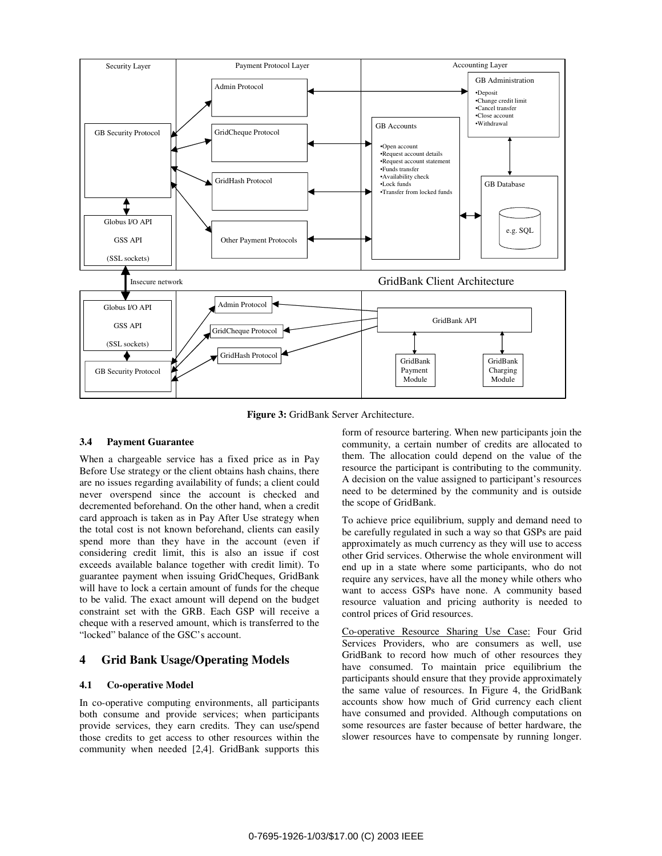

**Figure 3:** GridBank Server Architecture.

#### **3.4 Payment Guarantee**

When a chargeable service has a fixed price as in Pay Before Use strategy or the client obtains hash chains, there are no issues regarding availability of funds; a client could never overspend since the account is checked and decremented beforehand. On the other hand, when a credit card approach is taken as in Pay After Use strategy when the total cost is not known beforehand, clients can easily spend more than they have in the account (even if considering credit limit, this is also an issue if cost exceeds available balance together with credit limit). To guarantee payment when issuing GridCheques, GridBank will have to lock a certain amount of funds for the cheque to be valid. The exact amount will depend on the budget constraint set with the GRB. Each GSP will receive a cheque with a reserved amount, which is transferred to the "locked" balance of the GSC's account.

## **4 Grid Bank Usage/Operating Models**

#### **4.1 Co-operative Model**

In co-operative computing environments, all participants both consume and provide services; when participants provide services, they earn credits. They can use/spend those credits to get access to other resources within the community when needed [2,4]. GridBank supports this form of resource bartering. When new participants join the community, a certain number of credits are allocated to them. The allocation could depend on the value of the resource the participant is contributing to the community. A decision on the value assigned to participant's resources need to be determined by the community and is outside the scope of GridBank.

To achieve price equilibrium, supply and demand need to be carefully regulated in such a way so that GSPs are paid approximately as much currency as they will use to access other Grid services. Otherwise the whole environment will end up in a state where some participants, who do not require any services, have all the money while others who want to access GSPs have none. A community based resource valuation and pricing authority is needed to control prices of Grid resources.

Co-operative Resource Sharing Use Case: Four Grid Services Providers, who are consumers as well, use GridBank to record how much of other resources they have consumed. To maintain price equilibrium the participants should ensure that they provide approximately the same value of resources. In Figure 4, the GridBank accounts show how much of Grid currency each client have consumed and provided. Although computations on some resources are faster because of better hardware, the slower resources have to compensate by running longer.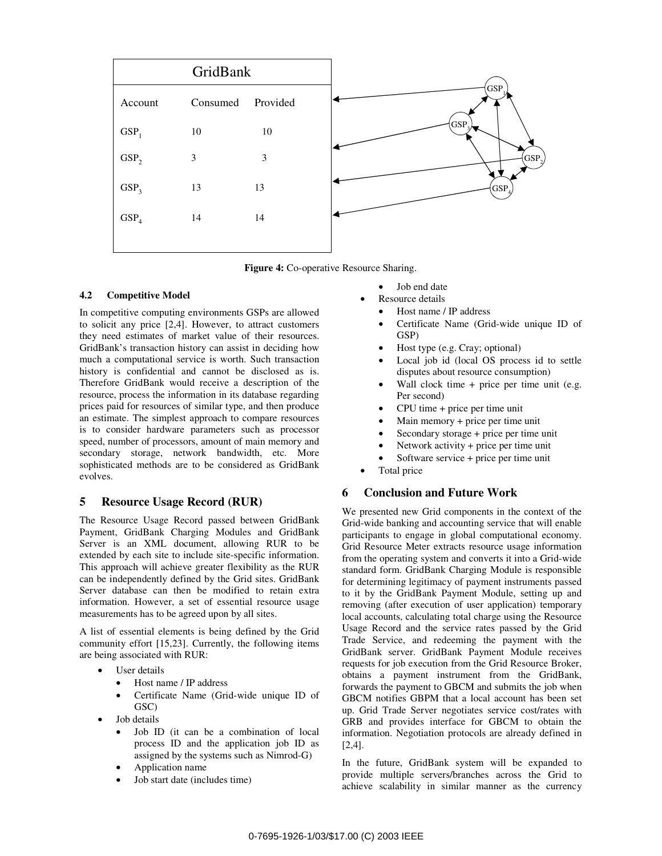

**Figure 4:** Co-operative Resource Sharing.

#### **4.2 Competitive Model**

In competitive computing environments GSPs are allowed to solicit any price [2,4]. However, to attract customers they need estimates of market value of their resources. GridBank's transaction history can assist in deciding how much a computational service is worth. Such transaction history is confidential and cannot be disclosed as is. Therefore GridBank would receive a description of the resource, process the information in its database regarding prices paid for resources of similar type, and then produce an estimate. The simplest approach to compare resources is to consider hardware parameters such as processor speed, number of processors, amount of main memory and secondary storage, network bandwidth, etc. More sophisticated methods are to be considered as GridBank evolves.

# **5 Resource Usage Record (RUR)**

The Resource Usage Record passed between GridBank Payment, GridBank Charging Modules and GridBank Server is an XML document, allowing RUR to be extended by each site to include site-specific information. This approach will achieve greater flexibility as the RUR can be independently defined by the Grid sites. GridBank Server database can then be modified to retain extra information. However, a set of essential resource usage measurements has to be agreed upon by all sites.

A list of essential elements is being defined by the Grid community effort [15,23]. Currently, the following items are being associated with RUR:

- User details
	- Host name / IP address
	- Certificate Name (Grid-wide unique ID of GSC)
- Job details
	- Job ID (it can be a combination of local process ID and the application job ID as assigned by the systems such as Nimrod-G)
	- Application name
	- Job start date (includes time)
- Job end date
- Resource details
- Host name / IP address
- Certificate Name (Grid-wide unique ID of GSP)
- Host type (e.g. Cray; optional)
- Local job id (local OS process id to settle disputes about resource consumption)
- Wall clock time  $+$  price per time unit (e.g. Per second)
- CPU time + price per time unit
- Main memory + price per time unit
- Secondary storage + price per time unit
- Network activity + price per time unit
- Software service + price per time unit
- Total price

# **6 Conclusion and Future Work**

We presented new Grid components in the context of the Grid-wide banking and accounting service that will enable participants to engage in global computational economy. Grid Resource Meter extracts resource usage information from the operating system and converts it into a Grid-wide standard form. GridBank Charging Module is responsible for determining legitimacy of payment instruments passed to it by the GridBank Payment Module, setting up and removing (after execution of user application) temporary local accounts, calculating total charge using the Resource Usage Record and the service rates passed by the Grid Trade Service, and redeeming the payment with the GridBank server. GridBank Payment Module receives requests for job execution from the Grid Resource Broker, obtains a payment instrument from the GridBank, forwards the payment to GBCM and submits the job when GBCM notifies GBPM that a local account has been set up. Grid Trade Server negotiates service cost/rates with GRB and provides interface for GBCM to obtain the information. Negotiation protocols are already defined in [2,4].

In the future, GridBank system will be expanded to provide multiple servers/branches across the Grid to achieve scalability in similar manner as the currency